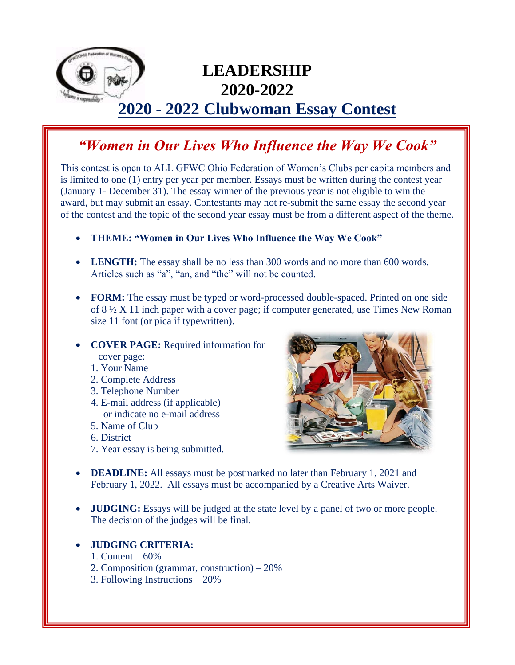

## **LEADERSHIP 2020-2022**

## **2020 - 2022 Clubwoman Essay Contest**

## *"Women in Our Lives Who Influence the Way We Cook"*

This contest is open to ALL GFWC Ohio Federation of Women's Clubs per capita members and is limited to one (1) entry per year per member. Essays must be written during the contest year (January 1- December 31). The essay winner of the previous year is not eligible to win the award, but may submit an essay. Contestants may not re-submit the same essay the second year of the contest and the topic of the second year essay must be from a different aspect of the theme.

- **THEME: "Women in Our Lives Who Influence the Way We Cook"**
- LENGTH: The essay shall be no less than 300 words and no more than 600 words. Articles such as "a", "an, and "the" will not be counted.
- **FORM:** The essay must be typed or word-processed double-spaced. Printed on one side of 8 ½ X 11 inch paper with a cover page; if computer generated, use Times New Roman size 11 font (or pica if typewritten).
- **COVER PAGE:** Required information for cover page:
	- 1. Your Name
	- 2. Complete Address
	- 3. Telephone Number
	- 4. E-mail address (if applicable) or indicate no e-mail address
	- 5. Name of Club
	- 6. District
	- 7. Year essay is being submitted.



- **DEADLINE:** All essays must be postmarked no later than February 1, 2021 and February 1, 2022. All essays must be accompanied by a Creative Arts Waiver.
- **JUDGING:** Essays will be judged at the state level by a panel of two or more people. The decision of the judges will be final.

## • **JUDGING CRITERIA:**

- 1. Content 60%
- 2. Composition (grammar, construction) 20%
- 3. Following Instructions 20%